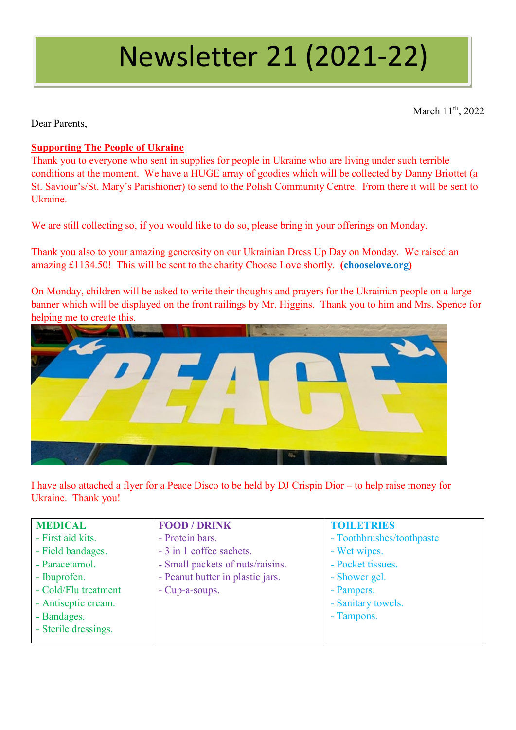# Newsletter 21 (2021-22)

March 11<sup>th</sup>, 2022

Dear Parents,

## **Supporting The People of Ukraine**

Thank you to everyone who sent in supplies for people in Ukraine who are living under such terrible conditions at the moment. We have a HUGE array of goodies which will be collected by Danny Briottet (a St. Saviour's/St. Mary's Parishioner) to send to the Polish Community Centre. From there it will be sent to Ukraine.

We are still collecting so, if you would like to do so, please bring in your offerings on Monday.

Thank you also to your amazing generosity on our Ukrainian Dress Up Day on Monday. We raised an amazing £1134.50! This will be sent to the charity Choose Love shortly. **(chooselove.org)**

On Monday, children will be asked to write their thoughts and prayers for the Ukrainian people on a large banner which will be displayed on the front railings by Mr. Higgins. Thank you to him and Mrs. Spence for helping me to create this.



I have also attached a flyer for a Peace Disco to be held by DJ Crispin Dior – to help raise money for Ukraine. Thank you!

| <b>MEDICAL</b>       | <b>FOOD / DRINK</b>              | <b>TOILETRIES</b>         |
|----------------------|----------------------------------|---------------------------|
| - First aid kits.    | - Protein bars.                  | - Toothbrushes/toothpaste |
| - Field bandages.    | - 3 in 1 coffee sachets.         | - Wet wipes.              |
| - Paracetamol.       | - Small packets of nuts/raisins. | - Pocket tissues.         |
| - Ibuprofen.         | - Peanut butter in plastic jars. | - Shower gel.             |
| - Cold/Flu treatment | - Cup-a-soups.                   | - Pampers.                |
| - Antiseptic cream.  |                                  | - Sanitary towels.        |
| - Bandages.          |                                  | - Tampons.                |
| - Sterile dressings. |                                  |                           |
|                      |                                  |                           |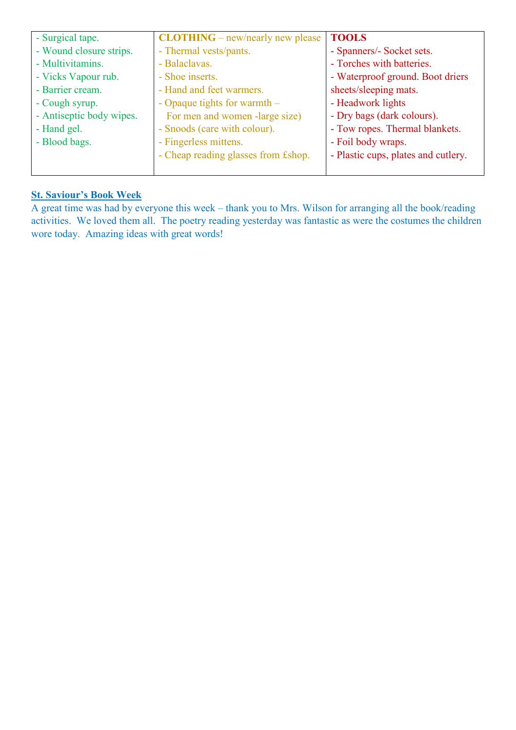| - Surgical tape.         | $CLOTHING$ – new/nearly new please  | <b>TOOLS</b>                        |
|--------------------------|-------------------------------------|-------------------------------------|
| - Wound closure strips.  | - Thermal vests/pants.              | - Spanners/- Socket sets.           |
| - Multivitamins.         | - Balaclavas.                       | - Torches with batteries.           |
| - Vicks Vapour rub.      | - Shoe inserts.                     | - Waterproof ground. Boot driers    |
| - Barrier cream.         | - Hand and feet warmers.            | sheets/sleeping mats.               |
| - Cough syrup.           | - Opaque tights for warmth $-$      | - Headwork lights                   |
| - Antiseptic body wipes. | For men and women -large size)      | - Dry bags (dark colours).          |
| - Hand gel.              | - Snoods (care with colour).        | - Tow ropes. Thermal blankets.      |
| - Blood bags.            | - Fingerless mittens.               | - Foil body wraps.                  |
|                          | - Cheap reading glasses from £shop. | - Plastic cups, plates and cutlery. |
|                          |                                     |                                     |

## **St. Saviour's Book Week**

A great time was had by everyone this week – thank you to Mrs. Wilson for arranging all the book/reading activities. We loved them all. The poetry reading yesterday was fantastic as were the costumes the children wore today. Amazing ideas with great words!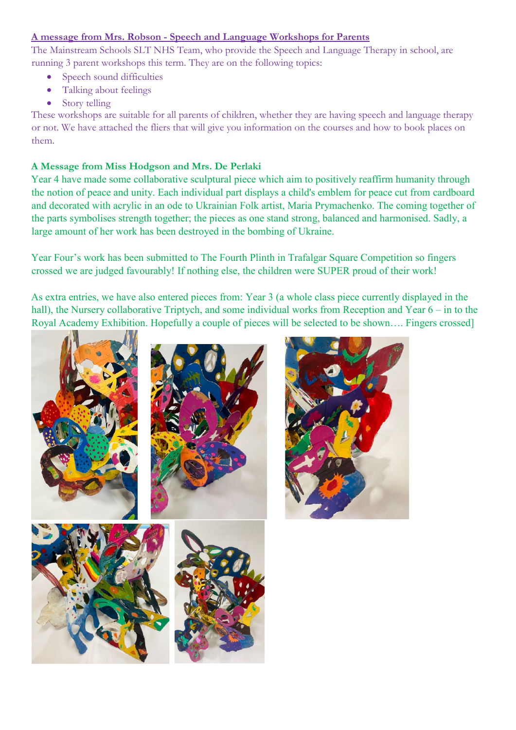#### **A message from Mrs. Robson - Speech and Language Workshops for Parents**

The Mainstream Schools SLT NHS Team, who provide the Speech and Language Therapy in school, are running 3 parent workshops this term. They are on the following topics:

- Speech sound difficulties
- Talking about feelings
- Story telling

These workshops are suitable for all parents of children, whether they are having speech and language therapy or not. We have attached the fliers that will give you information on the courses and how to book places on them.

#### **A Message from Miss Hodgson and Mrs. De Perlaki**

Year 4 have made some collaborative sculptural piece which aim to positively reaffirm humanity through the notion of peace and unity. Each individual part displays a child's emblem for peace cut from cardboard and decorated with acrylic in an ode to Ukrainian Folk artist, Maria Prymachenko. The coming together of the parts symbolises strength together; the pieces as one stand strong, balanced and harmonised. Sadly, a large amount of her work has been destroyed in the bombing of Ukraine.

Year Four's work has been submitted to The Fourth Plinth in Trafalgar Square Competition so fingers crossed we are judged favourably! If nothing else, the children were SUPER proud of their work!

As extra entries, we have also entered pieces from: Year 3 (a whole class piece currently displayed in the hall), the Nursery collaborative Triptych, and some individual works from Reception and Year 6 – in to the Royal Academy Exhibition. Hopefully a couple of pieces will be selected to be shown…. Fingers crossed]